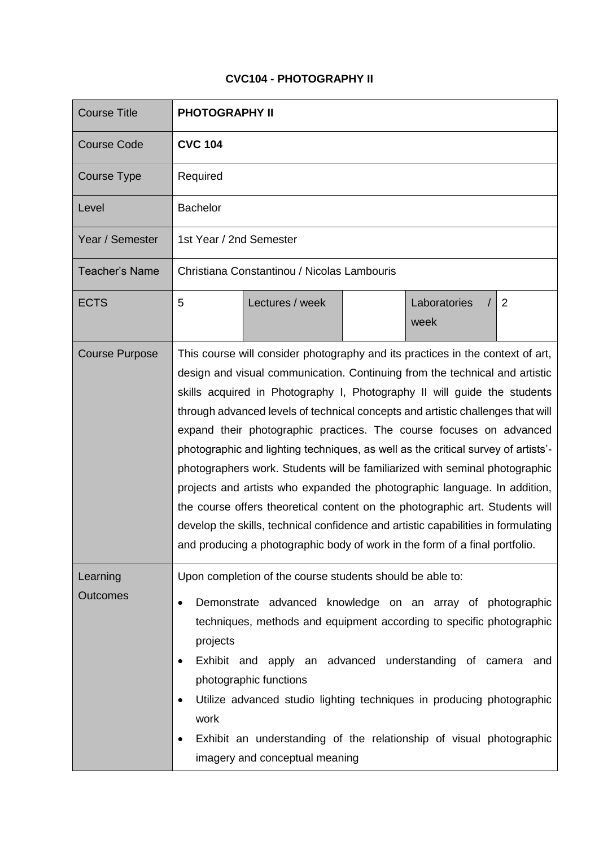## **CVC104 - PHOTOGRAPHY II**

| <b>Course Title</b>   | <b>PHOTOGRAPHY II</b>                                                                                                                                                                                                                                                                                                                                                                                                                                                                                                                                                                                                                                                                                                                                                                                                                                                                                    |
|-----------------------|----------------------------------------------------------------------------------------------------------------------------------------------------------------------------------------------------------------------------------------------------------------------------------------------------------------------------------------------------------------------------------------------------------------------------------------------------------------------------------------------------------------------------------------------------------------------------------------------------------------------------------------------------------------------------------------------------------------------------------------------------------------------------------------------------------------------------------------------------------------------------------------------------------|
| <b>Course Code</b>    | <b>CVC 104</b>                                                                                                                                                                                                                                                                                                                                                                                                                                                                                                                                                                                                                                                                                                                                                                                                                                                                                           |
| Course Type           | Required                                                                                                                                                                                                                                                                                                                                                                                                                                                                                                                                                                                                                                                                                                                                                                                                                                                                                                 |
| Level                 | <b>Bachelor</b>                                                                                                                                                                                                                                                                                                                                                                                                                                                                                                                                                                                                                                                                                                                                                                                                                                                                                          |
| Year / Semester       | 1st Year / 2nd Semester                                                                                                                                                                                                                                                                                                                                                                                                                                                                                                                                                                                                                                                                                                                                                                                                                                                                                  |
| <b>Teacher's Name</b> | Christiana Constantinou / Nicolas Lambouris                                                                                                                                                                                                                                                                                                                                                                                                                                                                                                                                                                                                                                                                                                                                                                                                                                                              |
| <b>ECTS</b>           | 5<br>Lectures / week<br>Laboratories<br>$\overline{2}$<br>week                                                                                                                                                                                                                                                                                                                                                                                                                                                                                                                                                                                                                                                                                                                                                                                                                                           |
| <b>Course Purpose</b> | This course will consider photography and its practices in the context of art,<br>design and visual communication. Continuing from the technical and artistic<br>skills acquired in Photography I, Photography II will guide the students<br>through advanced levels of technical concepts and artistic challenges that will<br>expand their photographic practices. The course focuses on advanced<br>photographic and lighting techniques, as well as the critical survey of artists'-<br>photographers work. Students will be familiarized with seminal photographic<br>projects and artists who expanded the photographic language. In addition,<br>the course offers theoretical content on the photographic art. Students will<br>develop the skills, technical confidence and artistic capabilities in formulating<br>and producing a photographic body of work in the form of a final portfolio. |
| Learning<br>Outcomes  | Upon completion of the course students should be able to:<br>Demonstrate advanced knowledge on an array of photographic<br>techniques, methods and equipment according to specific photographic<br>projects<br>Exhibit and apply an advanced understanding of camera and<br>$\bullet$<br>photographic functions<br>Utilize advanced studio lighting techniques in producing photographic<br>work<br>Exhibit an understanding of the relationship of visual photographic<br>imagery and conceptual meaning                                                                                                                                                                                                                                                                                                                                                                                                |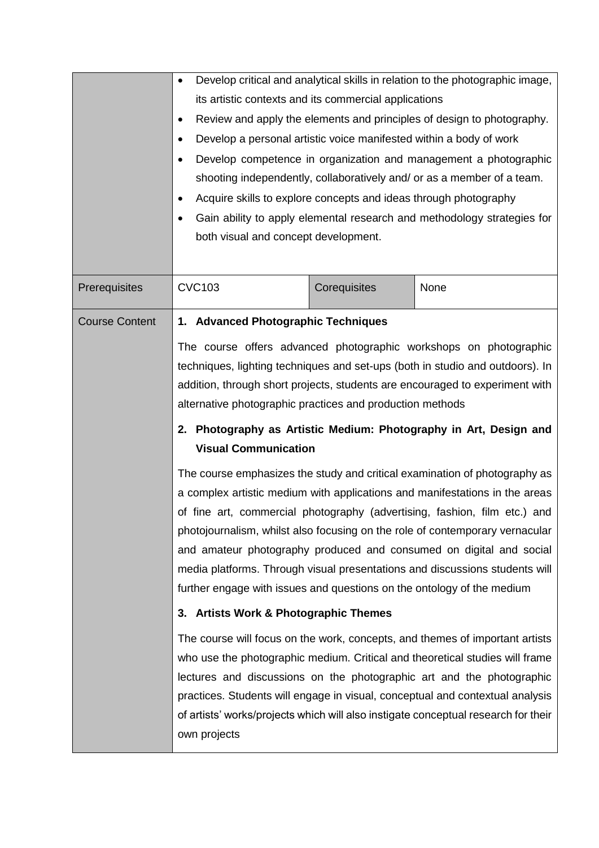|                       | $\bullet$<br>its artistic contexts and its commercial applications<br>$\bullet$<br>Develop a personal artistic voice manifested within a body of work<br>$\bullet$<br>$\bullet$<br>Acquire skills to explore concepts and ideas through photography<br>$\bullet$<br>$\bullet$<br>both visual and concept development. |              | Develop critical and analytical skills in relation to the photographic image,<br>Review and apply the elements and principles of design to photography.<br>Develop competence in organization and management a photographic<br>shooting independently, collaboratively and/ or as a member of a team.<br>Gain ability to apply elemental research and methodology strategies for                                                                                                                                                                                                                                                                                                                                                                                                        |
|-----------------------|-----------------------------------------------------------------------------------------------------------------------------------------------------------------------------------------------------------------------------------------------------------------------------------------------------------------------|--------------|-----------------------------------------------------------------------------------------------------------------------------------------------------------------------------------------------------------------------------------------------------------------------------------------------------------------------------------------------------------------------------------------------------------------------------------------------------------------------------------------------------------------------------------------------------------------------------------------------------------------------------------------------------------------------------------------------------------------------------------------------------------------------------------------|
| Prerequisites         | <b>CVC103</b>                                                                                                                                                                                                                                                                                                         | Corequisites | None                                                                                                                                                                                                                                                                                                                                                                                                                                                                                                                                                                                                                                                                                                                                                                                    |
| <b>Course Content</b> | 1. Advanced Photographic Techniques<br>alternative photographic practices and production methods<br><b>Visual Communication</b><br>further engage with issues and questions on the ontology of the medium                                                                                                             |              | The course offers advanced photographic workshops on photographic<br>techniques, lighting techniques and set-ups (both in studio and outdoors). In<br>addition, through short projects, students are encouraged to experiment with<br>2. Photography as Artistic Medium: Photography in Art, Design and<br>The course emphasizes the study and critical examination of photography as<br>a complex artistic medium with applications and manifestations in the areas<br>of fine art, commercial photography (advertising, fashion, film etc.) and<br>photojournalism, whilst also focusing on the role of contemporary vernacular<br>and amateur photography produced and consumed on digital and social<br>media platforms. Through visual presentations and discussions students will |
|                       | 3. Artists Work & Photographic Themes                                                                                                                                                                                                                                                                                 |              |                                                                                                                                                                                                                                                                                                                                                                                                                                                                                                                                                                                                                                                                                                                                                                                         |
|                       | own projects                                                                                                                                                                                                                                                                                                          |              | The course will focus on the work, concepts, and themes of important artists<br>who use the photographic medium. Critical and theoretical studies will frame<br>lectures and discussions on the photographic art and the photographic<br>practices. Students will engage in visual, conceptual and contextual analysis<br>of artists' works/projects which will also instigate conceptual research for their                                                                                                                                                                                                                                                                                                                                                                            |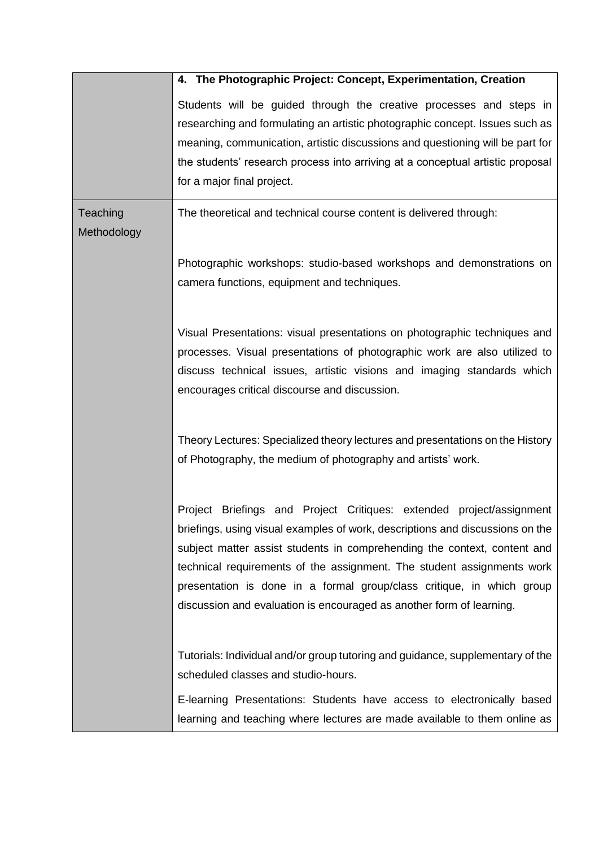|                         | 4. The Photographic Project: Concept, Experimentation, Creation                                                                                                                                                                                                                                                                                                                                                                                              |
|-------------------------|--------------------------------------------------------------------------------------------------------------------------------------------------------------------------------------------------------------------------------------------------------------------------------------------------------------------------------------------------------------------------------------------------------------------------------------------------------------|
|                         | Students will be guided through the creative processes and steps in<br>researching and formulating an artistic photographic concept. Issues such as<br>meaning, communication, artistic discussions and questioning will be part for<br>the students' research process into arriving at a conceptual artistic proposal<br>for a major final project.                                                                                                         |
| Teaching<br>Methodology | The theoretical and technical course content is delivered through:                                                                                                                                                                                                                                                                                                                                                                                           |
|                         | Photographic workshops: studio-based workshops and demonstrations on<br>camera functions, equipment and techniques.                                                                                                                                                                                                                                                                                                                                          |
|                         | Visual Presentations: visual presentations on photographic techniques and<br>processes. Visual presentations of photographic work are also utilized to<br>discuss technical issues, artistic visions and imaging standards which<br>encourages critical discourse and discussion.                                                                                                                                                                            |
|                         | Theory Lectures: Specialized theory lectures and presentations on the History<br>of Photography, the medium of photography and artists' work.                                                                                                                                                                                                                                                                                                                |
|                         | Project Briefings and Project Critiques: extended project/assignment<br>briefings, using visual examples of work, descriptions and discussions on the<br>subject matter assist students in comprehending the context, content and<br>technical requirements of the assignment. The student assignments work<br>presentation is done in a formal group/class critique, in which group<br>discussion and evaluation is encouraged as another form of learning. |
|                         | Tutorials: Individual and/or group tutoring and guidance, supplementary of the<br>scheduled classes and studio-hours.<br>E-learning Presentations: Students have access to electronically based                                                                                                                                                                                                                                                              |
|                         | learning and teaching where lectures are made available to them online as                                                                                                                                                                                                                                                                                                                                                                                    |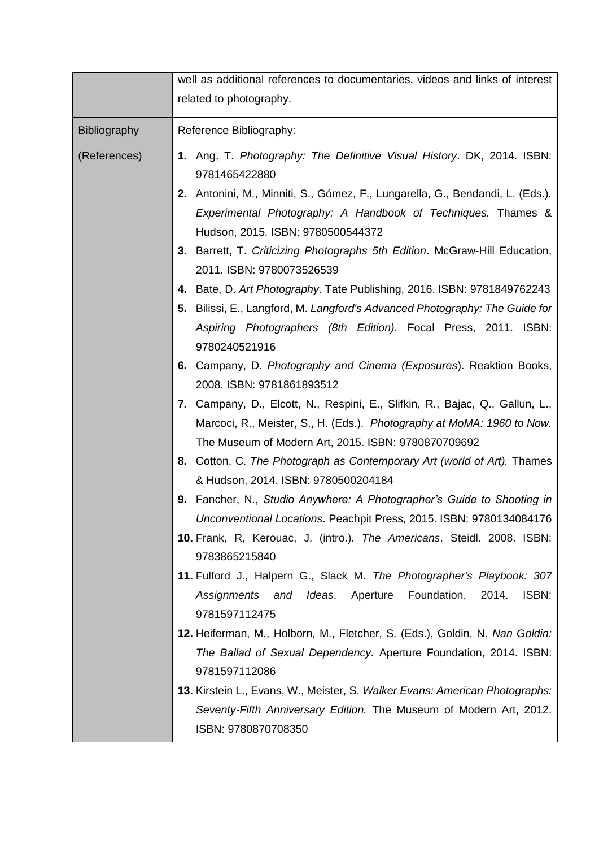|              | well as additional references to documentaries, videos and links of interest                                                                                                                                  |
|--------------|---------------------------------------------------------------------------------------------------------------------------------------------------------------------------------------------------------------|
|              | related to photography.                                                                                                                                                                                       |
| Bibliography | Reference Bibliography:                                                                                                                                                                                       |
| (References) | 1. Ang, T. Photography: The Definitive Visual History. DK, 2014. ISBN:<br>9781465422880                                                                                                                       |
|              | 2. Antonini, M., Minniti, S., Gómez, F., Lungarella, G., Bendandi, L. (Eds.).<br>Experimental Photography: A Handbook of Techniques. Thames &<br>Hudson, 2015. ISBN: 9780500544372                            |
|              | 3. Barrett, T. Criticizing Photographs 5th Edition. McGraw-Hill Education,<br>2011. ISBN: 9780073526539                                                                                                       |
|              | 4. Bate, D. Art Photography. Tate Publishing, 2016. ISBN: 9781849762243<br>5. Bilissi, E., Langford, M. Langford's Advanced Photography: The Guide for                                                        |
|              | Aspiring Photographers (8th Edition). Focal Press, 2011. ISBN:<br>9780240521916                                                                                                                               |
|              | 6. Campany, D. Photography and Cinema (Exposures). Reaktion Books,<br>2008. ISBN: 9781861893512                                                                                                               |
|              | 7. Campany, D., Elcott, N., Respini, E., Slifkin, R., Bajac, Q., Gallun, L.,<br>Marcoci, R., Meister, S., H. (Eds.). Photography at MoMA: 1960 to Now.<br>The Museum of Modern Art, 2015. ISBN: 9780870709692 |
|              | 8. Cotton, C. The Photograph as Contemporary Art (world of Art). Thames<br>& Hudson, 2014. ISBN: 9780500204184                                                                                                |
|              | Fancher, N., Studio Anywhere: A Photographer's Guide to Shooting in<br>9.<br>Unconventional Locations. Peachpit Press, 2015. ISBN: 9780134084176                                                              |
|              | 10. Frank, R, Kerouac, J. (intro.). The Americans. Steidl. 2008. ISBN:<br>9783865215840                                                                                                                       |
|              | 11. Fulford J., Halpern G., Slack M. The Photographer's Playbook: 307<br>and Ideas.<br>Aperture<br>Foundation,<br>2014.<br>ISBN:<br>Assignments<br>9781597112475                                              |
|              | 12. Heiferman, M., Holborn, M., Fletcher, S. (Eds.), Goldin, N. Nan Goldin:<br>The Ballad of Sexual Dependency. Aperture Foundation, 2014. ISBN:<br>9781597112086                                             |
|              | <b>13.</b> Kirstein L., Evans, W., Meister, S. Walker Evans: American Photographs:<br>Seventy-Fifth Anniversary Edition. The Museum of Modern Art, 2012.<br>ISBN: 9780870708350                               |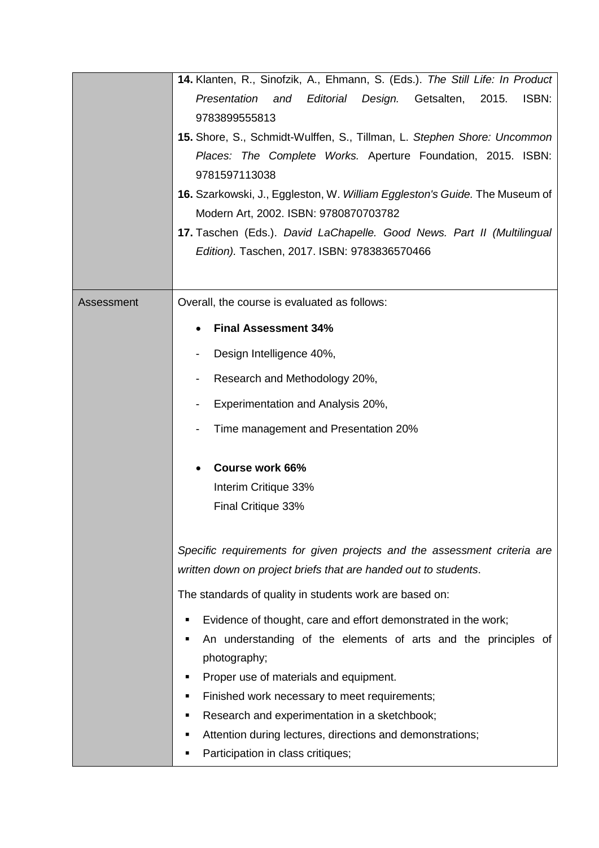|            | 14. Klanten, R., Sinofzik, A., Ehmann, S. (Eds.). The Still Life: In Product                                        |
|------------|---------------------------------------------------------------------------------------------------------------------|
|            | Editorial<br>Getsalten,<br>ISBN:<br>Presentation<br>Design.<br>2015.<br>and                                         |
|            | 9783899555813                                                                                                       |
|            | 15. Shore, S., Schmidt-Wulffen, S., Tillman, L. Stephen Shore: Uncommon                                             |
|            | Places: The Complete Works. Aperture Foundation, 2015. ISBN:                                                        |
|            | 9781597113038                                                                                                       |
|            | 16. Szarkowski, J., Eggleston, W. William Eggleston's Guide. The Museum of<br>Modern Art, 2002. ISBN: 9780870703782 |
|            | 17. Taschen (Eds.). David LaChapelle. Good News. Part II (Multilingual                                              |
|            | Edition). Taschen, 2017. ISBN: 9783836570466                                                                        |
|            |                                                                                                                     |
| Assessment | Overall, the course is evaluated as follows:                                                                        |
|            | <b>Final Assessment 34%</b>                                                                                         |
|            | Design Intelligence 40%,                                                                                            |
|            | Research and Methodology 20%,                                                                                       |
|            | Experimentation and Analysis 20%,                                                                                   |
|            | Time management and Presentation 20%                                                                                |
|            | Course work 66%                                                                                                     |
|            | Interim Critique 33%                                                                                                |
|            | Final Critique 33%                                                                                                  |
|            | Specific requirements for given projects and the assessment criteria are                                            |
|            | written down on project briefs that are handed out to students.                                                     |
|            | The standards of quality in students work are based on:                                                             |
|            | Evidence of thought, care and effort demonstrated in the work;<br>Е                                                 |
|            | An understanding of the elements of arts and the principles of<br>п                                                 |
|            | photography;                                                                                                        |
|            | Proper use of materials and equipment.<br>п                                                                         |
|            | Finished work necessary to meet requirements;<br>п                                                                  |
|            | Research and experimentation in a sketchbook;<br>п                                                                  |
|            | Attention during lectures, directions and demonstrations;<br>п<br>Participation in class critiques;<br>Е            |
|            |                                                                                                                     |